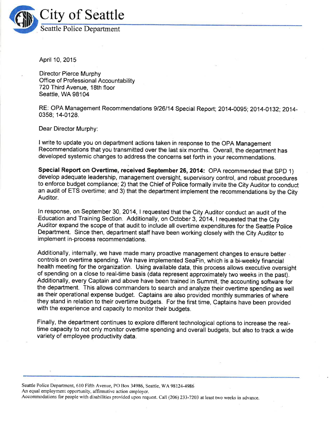

April 10,2015

Director Pierce Murphy Office of Professional Accountability 720Third Avenue, 18th floor Seattle, WA 98104

RE: OPA Management Recommendations 9126114 Special Report; 2014-0095;2014-0132;2014- 0358; 14-0128.

Dear Director Murphy:

I write to update you on department actions taken in response to the OPA Management Recommendations that you transmitted over the last six months. Overall, the department has developed systemic changes to address the concerns set forth in your recommendations.

Special Report on Overtime, received September 26, 2014: OPA recommended that SPD 1) develop adequate leadership, management oversight, supervisory control, and robust procedures to enforce budget compliance; 2) that the Chief of Police formally invite the City Auditor to conduct an audit of ETS overtime; and 3) that the department implement the recommendations by the City Auditor.

In response, on September 30, 2014, I requested that the City Auditor conduct an audit of the Education and Training Section. Additionally, on October 3, 2014,1 requested that the City Auditor expand the scope of that audit to include all overtime expenditures for the Seattle Police Department. Since then, department staff have been working closely with the City Auditor to implement in-process recommendations.

Additionally, internally, we have made many proactive management changes to ensure better  $\epsilon$ controls on overtime spending. We have implemented SeaFin, which is a bi-weekly financial health meeting for the organization. Using available data, this process allows executive oversight of spending on a close to real-time basis (data represent approximately two weeks in the past). Additionally, every Captain and above have been trained in Summit, the accounting software for the department. This allows commanders to search and analyze their overtime spending as well as their operational expense budget. Captains are also provided monthly summaries of where they stand in relation to their overtime budgets. For the first time, Captains have been provided with the experience and capacity to monitor their budgets.

Finally, the department continues to explore different technological options to increase the realtime capacity to not only monitor overtime spending and overall budgets, but also to track a wide variety of employee productivity data.

Seattle Police Department, 610 Fifth Avenue, PO Box 34986, Seattle, WA 98124-4986 An equal employment opportunity, affirmative action employer. Accommodations for people with disabilities provided upon request. Call (206) 233-7203 at least two weeks in advance.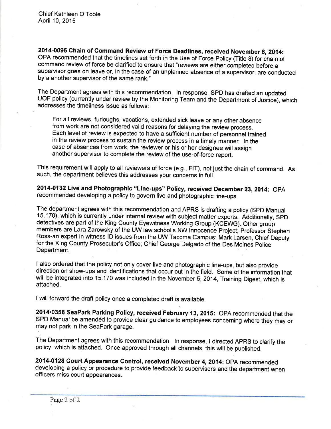2014-0095 Chain of Command Review of Force Deadlines, received November 6, 2014: OPA recommended that the timelines set forth in the Use of Force Policy (Title 8) for chain of command review of force be clarified to ensure that "reviews are either completed before <sup>a</sup> supervisor goes on leave or, in the case of an unplanned absence of a supervisor, are conducted by a another supervisor of the same rank."

The Department agrees with this recommendation. ln response, SPD has drafted an updated UOF policy (currently under review by the Monitoring Team and the Department of Jusiice), which addresses the timeliness issue as follows:

For all reviews, furloughs, vacations, extended sick leave or any other absence from work are not considered valid reasons for delaying the review process. Each level of review is expected to have a sufficient number of personnel trained in the review process to sustain the review process in a timely manner. ln the case of absences from work, the reviewer or his or her designee will assign another supervisor to complete the review of the use-of-force report.

This requirement will apply to all reviewers of force (e.g., FIT), not just the chain of command. As such, the department believes this addresses your concerns in full.

2014-0132 Live and Photographic "Line-ups" Policy, received December 23, 2014: OPA recommended developing a policy to govern live and photographic line-ups.

The department agrees with this recommendation and APRS is drafting a policy (SPD Manual 15.170), which is currently under internal review with subject matter experts. Additionally, SpD detectives are part of the King County Eyewitness Working Group (KCEWG). Other group members are Lara Zarowsky of the UW law school's NW Innocence Project; Professor Stephen Ross-an expert in witness ID issues-from the UW Tacoma Campus; Mark Larsen, Chief Deputy for the King County Prosecutor's Office; Chief George Delgado of the Des Moines police Department.

I also ordered that the policy not only cover live and photographic line-ups, but also provide direction on show-ups and identifications that occur out in the field. Some of the information that will be integrated into 15.170 was included in the November 5, 2014, Training Digest, which is attached.

I will forward the draft policy once a completed draft is available.

2014'0358 SeaPark Parking Policy, ¡eceived February 13,2015: OPA recommended that the SPD Manual be amendéd to provide clear guidance to employees concerning where they may or may not park in the SeaPark garage.

The Department agrees with this recommendation. ln response, I directed APRS to clarify the policy, which is attached. Once approved through all channels, this will be published.

2014-0128 Court Appearance Control, received November 4, 2014: OPA recommended developing a policy or procedure to provide feedback to supervisors and the department when officers miss court appearances.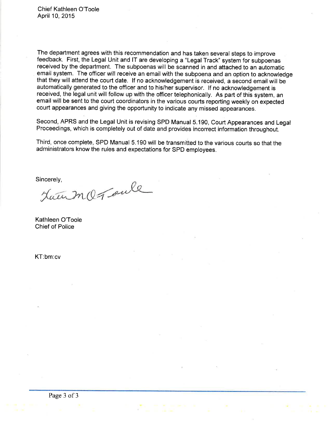The department agrees with this recommendation and has taken several steps to improve feedback. First, the Legal Unit and lT are developing a "Legal Track" system for subpoenas received by the department. The subpoenas will be scanned in and attached to an automatic email system. The officer will receive an email with the subpoena and an option to acknowledge that they will attend the court date. If no acknowledgement is received, a second email will be automatically generated to the officer and to his/her supervisor. lf no acknowledgement is received, the legal unit will follow up with the officer telephonically. As part of this system, an email will be sent to the court coordinators in the various courts reporting weekly on expected court appearances and giving the opportunity to indicate any missed appearances.

Second, APRS and the Legal Unit is revising SPD Manual 5.190, Court Appearances and Legal Proceedings, which is completely out of date and provides incorrect information throughout.

Third, once complete, SPD Manual 5.190 will be transmitted to the various courts so that the administrators know the rules and expectations for SPD employees.

Sincerely,<br>Jaun MQ Toule

Kathleen O'Toole Chief of Police

KT:bm:cv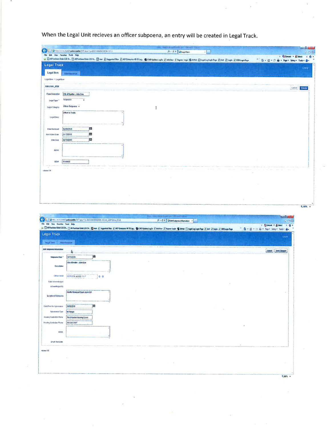When the Legal Unit recieves an officer subpoena, an entry will be created in Legal Track.

| T Convert - C Select<br>th Computers Order Life On a Portugal Code Life Co., Mann Disappoint Ran () ADP Enterprise 18(16 Leg. (S COM Updates Legith of the Players Legith (S britth C) Legith Legith Proper Pright Photo Legith Defense Proper Pages P<br>" 位·四·□ 由 · Page » Salay » Tools » @ »<br><b>Line of</b><br>Legal item<br><b>Mimanance</b><br>Legal Barn + Legal Rent<br>Edit LEGAL_ITEM<br><b>Canal   Craft</b><br>Case Datender<br>CA/ of System, John Doe<br>Subpoena<br>Logal Type <sup>+</sup><br>Officer Butgoena +<br><b>Legal Category</b><br>$\mathbf I$<br>Officer to Festity<br>Legal Direct<br>c<br>DARGOSHE<br><b>In</b><br>04/13/2015<br>Ned Adient Daily<br><b>YB</b><br>84/1/2015<br>Data Dos<br>Notes<br>15-80000<br>60 #<br>1690618<br><b>RENK &gt;</b><br>$-6 - 0$<br>O THE REPORT OF THE REPORT OF THE RESERVE TO A 24YO F, ONE OF THE REPORT OF THE REPORT OF THE REPORT OF THE REPORT OF THE REPORT OF THE REPORT OF THE REPORT OF THE REPORT OF THE REPORT OF THE REPORT OF THE REPORT OF THE RE<br>D - CX 2 LES Septembre 1<br>百合症<br>7 R'Comat = Brided<br>$\mathbf{A}$<br>(a Construction of the Constitution of the Constitution of the Constitution of the Constitution of the Constitution of the Constitution of Constitution of the Constitution of the Constitution of the Constitution of the Con<br>○ Q = Q = (3 mm = hop = Salay = Task = 0 =<br>Upia<br><b>Hallfassore</b><br>Cand Electron<br>A.<br>1é<br><b>BEASCOTS</b><br>Subposes Date <sup>+</sup><br>On of Seattle - John Doe<br>Description<br><b>Officer Systel</b><br>BERGE VATELYN P<br>lo o<br>Oala Advervledged<br>Астимподав Вз<br><b>Paume Useaccal Court, room 191</b><br>Location of Butquens<br>a<br>84150015<br>Date/flave for Appearance<br><b>MPinson</b><br>Арва влакое Тура<br>Heating Custodian Marke<br>The Infraction Hyanny Coard<br>Heating Costochia Phone<br>208-594-5997<br>×<br>Netro<br>Einzil Berd Dale<br>mires t.E.<br>$\sim$<br>$\sim$<br>$\mathcal{A}$ | ke i<br>1 3 May 2010 model of police stattle 1979, 2010 at 1981 1981 1982 1983 1993 1994 | 0 - 0 X 3 Legal Sem<br>ы |  | $-10-1$<br>计合金 |
|--------------------------------------------------------------------------------------------------------------------------------------------------------------------------------------------------------------------------------------------------------------------------------------------------------------------------------------------------------------------------------------------------------------------------------------------------------------------------------------------------------------------------------------------------------------------------------------------------------------------------------------------------------------------------------------------------------------------------------------------------------------------------------------------------------------------------------------------------------------------------------------------------------------------------------------------------------------------------------------------------------------------------------------------------------------------------------------------------------------------------------------------------------------------------------------------------------------------------------------------------------------------------------------------------------------------------------------------------------------------------------------------------------------------------------------------------------------------------------------------------------------------------------------------------------------------------------------------------------------------------------------------------------------------------------------------------------------------------------------------------------------------------------------------------------------------------------------------------------------------------------------------------------------------------------------------------------------------------------------------|------------------------------------------------------------------------------------------|--------------------------|--|----------------|
|                                                                                                                                                                                                                                                                                                                                                                                                                                                                                                                                                                                                                                                                                                                                                                                                                                                                                                                                                                                                                                                                                                                                                                                                                                                                                                                                                                                                                                                                                                                                                                                                                                                                                                                                                                                                                                                                                                                                                                                            | The Life View Favorite: Tools Hulp                                                       |                          |  | $20 -$         |
|                                                                                                                                                                                                                                                                                                                                                                                                                                                                                                                                                                                                                                                                                                                                                                                                                                                                                                                                                                                                                                                                                                                                                                                                                                                                                                                                                                                                                                                                                                                                                                                                                                                                                                                                                                                                                                                                                                                                                                                            | <b>Legal Track</b>                                                                       |                          |  |                |
|                                                                                                                                                                                                                                                                                                                                                                                                                                                                                                                                                                                                                                                                                                                                                                                                                                                                                                                                                                                                                                                                                                                                                                                                                                                                                                                                                                                                                                                                                                                                                                                                                                                                                                                                                                                                                                                                                                                                                                                            |                                                                                          |                          |  |                |
|                                                                                                                                                                                                                                                                                                                                                                                                                                                                                                                                                                                                                                                                                                                                                                                                                                                                                                                                                                                                                                                                                                                                                                                                                                                                                                                                                                                                                                                                                                                                                                                                                                                                                                                                                                                                                                                                                                                                                                                            |                                                                                          |                          |  |                |
|                                                                                                                                                                                                                                                                                                                                                                                                                                                                                                                                                                                                                                                                                                                                                                                                                                                                                                                                                                                                                                                                                                                                                                                                                                                                                                                                                                                                                                                                                                                                                                                                                                                                                                                                                                                                                                                                                                                                                                                            |                                                                                          |                          |  |                |
|                                                                                                                                                                                                                                                                                                                                                                                                                                                                                                                                                                                                                                                                                                                                                                                                                                                                                                                                                                                                                                                                                                                                                                                                                                                                                                                                                                                                                                                                                                                                                                                                                                                                                                                                                                                                                                                                                                                                                                                            |                                                                                          |                          |  |                |
|                                                                                                                                                                                                                                                                                                                                                                                                                                                                                                                                                                                                                                                                                                                                                                                                                                                                                                                                                                                                                                                                                                                                                                                                                                                                                                                                                                                                                                                                                                                                                                                                                                                                                                                                                                                                                                                                                                                                                                                            |                                                                                          |                          |  |                |
|                                                                                                                                                                                                                                                                                                                                                                                                                                                                                                                                                                                                                                                                                                                                                                                                                                                                                                                                                                                                                                                                                                                                                                                                                                                                                                                                                                                                                                                                                                                                                                                                                                                                                                                                                                                                                                                                                                                                                                                            |                                                                                          |                          |  |                |
|                                                                                                                                                                                                                                                                                                                                                                                                                                                                                                                                                                                                                                                                                                                                                                                                                                                                                                                                                                                                                                                                                                                                                                                                                                                                                                                                                                                                                                                                                                                                                                                                                                                                                                                                                                                                                                                                                                                                                                                            |                                                                                          |                          |  |                |
|                                                                                                                                                                                                                                                                                                                                                                                                                                                                                                                                                                                                                                                                                                                                                                                                                                                                                                                                                                                                                                                                                                                                                                                                                                                                                                                                                                                                                                                                                                                                                                                                                                                                                                                                                                                                                                                                                                                                                                                            |                                                                                          |                          |  |                |
|                                                                                                                                                                                                                                                                                                                                                                                                                                                                                                                                                                                                                                                                                                                                                                                                                                                                                                                                                                                                                                                                                                                                                                                                                                                                                                                                                                                                                                                                                                                                                                                                                                                                                                                                                                                                                                                                                                                                                                                            | <b>Dale Received</b>                                                                     |                          |  |                |
|                                                                                                                                                                                                                                                                                                                                                                                                                                                                                                                                                                                                                                                                                                                                                                                                                                                                                                                                                                                                                                                                                                                                                                                                                                                                                                                                                                                                                                                                                                                                                                                                                                                                                                                                                                                                                                                                                                                                                                                            |                                                                                          |                          |  |                |
|                                                                                                                                                                                                                                                                                                                                                                                                                                                                                                                                                                                                                                                                                                                                                                                                                                                                                                                                                                                                                                                                                                                                                                                                                                                                                                                                                                                                                                                                                                                                                                                                                                                                                                                                                                                                                                                                                                                                                                                            |                                                                                          |                          |  |                |
|                                                                                                                                                                                                                                                                                                                                                                                                                                                                                                                                                                                                                                                                                                                                                                                                                                                                                                                                                                                                                                                                                                                                                                                                                                                                                                                                                                                                                                                                                                                                                                                                                                                                                                                                                                                                                                                                                                                                                                                            |                                                                                          |                          |  |                |
|                                                                                                                                                                                                                                                                                                                                                                                                                                                                                                                                                                                                                                                                                                                                                                                                                                                                                                                                                                                                                                                                                                                                                                                                                                                                                                                                                                                                                                                                                                                                                                                                                                                                                                                                                                                                                                                                                                                                                                                            |                                                                                          |                          |  |                |
|                                                                                                                                                                                                                                                                                                                                                                                                                                                                                                                                                                                                                                                                                                                                                                                                                                                                                                                                                                                                                                                                                                                                                                                                                                                                                                                                                                                                                                                                                                                                                                                                                                                                                                                                                                                                                                                                                                                                                                                            |                                                                                          |                          |  |                |
|                                                                                                                                                                                                                                                                                                                                                                                                                                                                                                                                                                                                                                                                                                                                                                                                                                                                                                                                                                                                                                                                                                                                                                                                                                                                                                                                                                                                                                                                                                                                                                                                                                                                                                                                                                                                                                                                                                                                                                                            |                                                                                          |                          |  |                |
|                                                                                                                                                                                                                                                                                                                                                                                                                                                                                                                                                                                                                                                                                                                                                                                                                                                                                                                                                                                                                                                                                                                                                                                                                                                                                                                                                                                                                                                                                                                                                                                                                                                                                                                                                                                                                                                                                                                                                                                            |                                                                                          |                          |  |                |
|                                                                                                                                                                                                                                                                                                                                                                                                                                                                                                                                                                                                                                                                                                                                                                                                                                                                                                                                                                                                                                                                                                                                                                                                                                                                                                                                                                                                                                                                                                                                                                                                                                                                                                                                                                                                                                                                                                                                                                                            |                                                                                          |                          |  |                |
|                                                                                                                                                                                                                                                                                                                                                                                                                                                                                                                                                                                                                                                                                                                                                                                                                                                                                                                                                                                                                                                                                                                                                                                                                                                                                                                                                                                                                                                                                                                                                                                                                                                                                                                                                                                                                                                                                                                                                                                            |                                                                                          |                          |  |                |
|                                                                                                                                                                                                                                                                                                                                                                                                                                                                                                                                                                                                                                                                                                                                                                                                                                                                                                                                                                                                                                                                                                                                                                                                                                                                                                                                                                                                                                                                                                                                                                                                                                                                                                                                                                                                                                                                                                                                                                                            |                                                                                          |                          |  |                |
|                                                                                                                                                                                                                                                                                                                                                                                                                                                                                                                                                                                                                                                                                                                                                                                                                                                                                                                                                                                                                                                                                                                                                                                                                                                                                                                                                                                                                                                                                                                                                                                                                                                                                                                                                                                                                                                                                                                                                                                            |                                                                                          |                          |  |                |
|                                                                                                                                                                                                                                                                                                                                                                                                                                                                                                                                                                                                                                                                                                                                                                                                                                                                                                                                                                                                                                                                                                                                                                                                                                                                                                                                                                                                                                                                                                                                                                                                                                                                                                                                                                                                                                                                                                                                                                                            |                                                                                          |                          |  |                |
|                                                                                                                                                                                                                                                                                                                                                                                                                                                                                                                                                                                                                                                                                                                                                                                                                                                                                                                                                                                                                                                                                                                                                                                                                                                                                                                                                                                                                                                                                                                                                                                                                                                                                                                                                                                                                                                                                                                                                                                            |                                                                                          |                          |  |                |
|                                                                                                                                                                                                                                                                                                                                                                                                                                                                                                                                                                                                                                                                                                                                                                                                                                                                                                                                                                                                                                                                                                                                                                                                                                                                                                                                                                                                                                                                                                                                                                                                                                                                                                                                                                                                                                                                                                                                                                                            |                                                                                          |                          |  |                |
|                                                                                                                                                                                                                                                                                                                                                                                                                                                                                                                                                                                                                                                                                                                                                                                                                                                                                                                                                                                                                                                                                                                                                                                                                                                                                                                                                                                                                                                                                                                                                                                                                                                                                                                                                                                                                                                                                                                                                                                            |                                                                                          |                          |  |                |
|                                                                                                                                                                                                                                                                                                                                                                                                                                                                                                                                                                                                                                                                                                                                                                                                                                                                                                                                                                                                                                                                                                                                                                                                                                                                                                                                                                                                                                                                                                                                                                                                                                                                                                                                                                                                                                                                                                                                                                                            | file filt Yee Trinits Tont Hits<br>Legal Track<br><b>Lagaliters</b><br>وجيشا ومرجيان كز  |                          |  |                |
|                                                                                                                                                                                                                                                                                                                                                                                                                                                                                                                                                                                                                                                                                                                                                                                                                                                                                                                                                                                                                                                                                                                                                                                                                                                                                                                                                                                                                                                                                                                                                                                                                                                                                                                                                                                                                                                                                                                                                                                            |                                                                                          |                          |  |                |
|                                                                                                                                                                                                                                                                                                                                                                                                                                                                                                                                                                                                                                                                                                                                                                                                                                                                                                                                                                                                                                                                                                                                                                                                                                                                                                                                                                                                                                                                                                                                                                                                                                                                                                                                                                                                                                                                                                                                                                                            |                                                                                          |                          |  |                |
|                                                                                                                                                                                                                                                                                                                                                                                                                                                                                                                                                                                                                                                                                                                                                                                                                                                                                                                                                                                                                                                                                                                                                                                                                                                                                                                                                                                                                                                                                                                                                                                                                                                                                                                                                                                                                                                                                                                                                                                            |                                                                                          |                          |  |                |
|                                                                                                                                                                                                                                                                                                                                                                                                                                                                                                                                                                                                                                                                                                                                                                                                                                                                                                                                                                                                                                                                                                                                                                                                                                                                                                                                                                                                                                                                                                                                                                                                                                                                                                                                                                                                                                                                                                                                                                                            |                                                                                          |                          |  |                |
|                                                                                                                                                                                                                                                                                                                                                                                                                                                                                                                                                                                                                                                                                                                                                                                                                                                                                                                                                                                                                                                                                                                                                                                                                                                                                                                                                                                                                                                                                                                                                                                                                                                                                                                                                                                                                                                                                                                                                                                            |                                                                                          |                          |  |                |
|                                                                                                                                                                                                                                                                                                                                                                                                                                                                                                                                                                                                                                                                                                                                                                                                                                                                                                                                                                                                                                                                                                                                                                                                                                                                                                                                                                                                                                                                                                                                                                                                                                                                                                                                                                                                                                                                                                                                                                                            |                                                                                          |                          |  |                |
|                                                                                                                                                                                                                                                                                                                                                                                                                                                                                                                                                                                                                                                                                                                                                                                                                                                                                                                                                                                                                                                                                                                                                                                                                                                                                                                                                                                                                                                                                                                                                                                                                                                                                                                                                                                                                                                                                                                                                                                            |                                                                                          |                          |  |                |
|                                                                                                                                                                                                                                                                                                                                                                                                                                                                                                                                                                                                                                                                                                                                                                                                                                                                                                                                                                                                                                                                                                                                                                                                                                                                                                                                                                                                                                                                                                                                                                                                                                                                                                                                                                                                                                                                                                                                                                                            |                                                                                          |                          |  |                |
|                                                                                                                                                                                                                                                                                                                                                                                                                                                                                                                                                                                                                                                                                                                                                                                                                                                                                                                                                                                                                                                                                                                                                                                                                                                                                                                                                                                                                                                                                                                                                                                                                                                                                                                                                                                                                                                                                                                                                                                            |                                                                                          |                          |  |                |
|                                                                                                                                                                                                                                                                                                                                                                                                                                                                                                                                                                                                                                                                                                                                                                                                                                                                                                                                                                                                                                                                                                                                                                                                                                                                                                                                                                                                                                                                                                                                                                                                                                                                                                                                                                                                                                                                                                                                                                                            |                                                                                          |                          |  |                |
|                                                                                                                                                                                                                                                                                                                                                                                                                                                                                                                                                                                                                                                                                                                                                                                                                                                                                                                                                                                                                                                                                                                                                                                                                                                                                                                                                                                                                                                                                                                                                                                                                                                                                                                                                                                                                                                                                                                                                                                            |                                                                                          |                          |  |                |
|                                                                                                                                                                                                                                                                                                                                                                                                                                                                                                                                                                                                                                                                                                                                                                                                                                                                                                                                                                                                                                                                                                                                                                                                                                                                                                                                                                                                                                                                                                                                                                                                                                                                                                                                                                                                                                                                                                                                                                                            |                                                                                          |                          |  |                |
|                                                                                                                                                                                                                                                                                                                                                                                                                                                                                                                                                                                                                                                                                                                                                                                                                                                                                                                                                                                                                                                                                                                                                                                                                                                                                                                                                                                                                                                                                                                                                                                                                                                                                                                                                                                                                                                                                                                                                                                            |                                                                                          |                          |  |                |
|                                                                                                                                                                                                                                                                                                                                                                                                                                                                                                                                                                                                                                                                                                                                                                                                                                                                                                                                                                                                                                                                                                                                                                                                                                                                                                                                                                                                                                                                                                                                                                                                                                                                                                                                                                                                                                                                                                                                                                                            |                                                                                          |                          |  |                |
|                                                                                                                                                                                                                                                                                                                                                                                                                                                                                                                                                                                                                                                                                                                                                                                                                                                                                                                                                                                                                                                                                                                                                                                                                                                                                                                                                                                                                                                                                                                                                                                                                                                                                                                                                                                                                                                                                                                                                                                            |                                                                                          |                          |  |                |
|                                                                                                                                                                                                                                                                                                                                                                                                                                                                                                                                                                                                                                                                                                                                                                                                                                                                                                                                                                                                                                                                                                                                                                                                                                                                                                                                                                                                                                                                                                                                                                                                                                                                                                                                                                                                                                                                                                                                                                                            |                                                                                          |                          |  |                |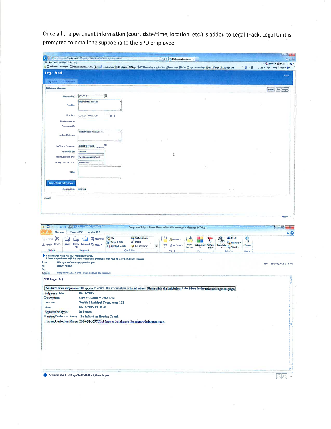Once all the pertinent information (court date/time, location, etc.) is added to Legal Track, Legal Unit is prompted to email the supboena to the SPD employee.

| Legal Track<br><b>Legal firm</b><br><b>Standenance</b><br>Edit Subparms Information<br>Sebponsu Osla * | a IMPartas Only 1.50- I MParkes Only 13:0- <b>D</b> ess 3 Supposed Six 3 APP intersect 1914. Six Collection to in Olympus a spin O provision of Station (Stephaloge) and a Station of Containing and |                                                      |                                                                     |           |              |                        |     |                                |       |                                            |
|--------------------------------------------------------------------------------------------------------|------------------------------------------------------------------------------------------------------------------------------------------------------------------------------------------------------|------------------------------------------------------|---------------------------------------------------------------------|-----------|--------------|------------------------|-----|--------------------------------|-------|--------------------------------------------|
|                                                                                                        |                                                                                                                                                                                                      |                                                      |                                                                     |           |              |                        |     |                                |       | @ ● 回 ● (3 m = Page = Safety = Toots = @ + |
|                                                                                                        |                                                                                                                                                                                                      |                                                      |                                                                     |           |              |                        |     |                                |       | Appear                                     |
|                                                                                                        |                                                                                                                                                                                                      |                                                      |                                                                     |           |              |                        |     |                                |       |                                            |
|                                                                                                        |                                                                                                                                                                                                      |                                                      |                                                                     |           |              |                        |     |                                |       | Comal: Save Champer                        |
|                                                                                                        | BM16/2015                                                                                                                                                                                            |                                                      |                                                                     |           |              |                        |     |                                |       |                                            |
| Desirban                                                                                               | Carol Beatley John Don                                                                                                                                                                               |                                                      |                                                                     |           |              |                        |     |                                |       |                                            |
|                                                                                                        |                                                                                                                                                                                                      |                                                      |                                                                     |           |              |                        |     |                                |       |                                            |
| Officer Serial                                                                                         | BERGER KATELYHE                                                                                                                                                                                      | 0 <sub>0</sub>                                       |                                                                     |           |              |                        |     |                                |       |                                            |
| Dale Acknowledged                                                                                      |                                                                                                                                                                                                      |                                                      |                                                                     |           |              |                        |     |                                |       |                                            |
| Printmass does By                                                                                      | <b>Geate Meddpat Cook rups 101</b>                                                                                                                                                                   |                                                      |                                                                     |           |              |                        |     |                                |       |                                            |
| Location of Subpasina                                                                                  |                                                                                                                                                                                                      |                                                      |                                                                     |           |              |                        |     |                                |       |                                            |
|                                                                                                        |                                                                                                                                                                                                      |                                                      |                                                                     |           |              |                        |     |                                |       |                                            |
| Date/Times for Appearance                                                                              | 04160915193003                                                                                                                                                                                       |                                                      |                                                                     |           |              |                        |     |                                |       |                                            |
| <b>Providence Fide</b>                                                                                 | <b>In Person</b>                                                                                                                                                                                     |                                                      |                                                                     |           | 1            |                        |     |                                |       |                                            |
| Heafing Custodian Harve<br><b>Hearing Custodian Phone</b>                                              | The intraction Hearing Croind<br>ZD6-604-5697                                                                                                                                                        |                                                      |                                                                     |           |              |                        |     |                                |       |                                            |
|                                                                                                        |                                                                                                                                                                                                      |                                                      |                                                                     |           |              |                        |     |                                |       |                                            |
| Hotes                                                                                                  |                                                                                                                                                                                                      |                                                      |                                                                     |           |              |                        |     |                                |       |                                            |
|                                                                                                        |                                                                                                                                                                                                      |                                                      |                                                                     |           |              |                        |     |                                |       |                                            |
| Resentational To Employee                                                                              |                                                                                                                                                                                                      |                                                      |                                                                     |           |              |                        |     |                                |       |                                            |
| Email Sent Dute #400/2015                                                                              |                                                                                                                                                                                                      |                                                      |                                                                     |           |              |                        |     |                                |       |                                            |
| 半下来<br>$\cup$<br><b>A</b><br>Message<br><b>Nuance PDF</b>                                              | <b>THE REAL PROPERTY</b><br>Adobe PDF                                                                                                                                                                |                                                      | Subpoena Subject Line - Please adjust this message - Message (HTML) |           |              |                        |     |                                |       | $\Box$ $\Box$                              |
| Х<br><sub>u</sub> lignare                                                                              | <b>EL Meeting</b>                                                                                                                                                                                    | <b>B</b> TG                                          | <b>El To Manager</b>                                                |           | <b>Rutes</b> |                        |     | da Find                        | Q     |                                            |
| & Junk + Delete<br>Reply                                                                               | Reply Forward 3 More                                                                                                                                                                                 | <b>Ad Team E-mail</b><br><b>A Reply &amp; Defete</b> | $\sqrt{D}$ one<br>S <sup>t</sup> Create New                         | Mont<br>¥ | Actions*     | Mark Categorize Follow |     | <b>D. Related</b><br>Translute | 1000  |                                            |
| All<br>Delete                                                                                          | Respond                                                                                                                                                                                              |                                                      | Quick Steps                                                         | ŵ         | Mase         | Unread<br>Tags         | Up- | h Select .<br>Edding           | Zosov |                                            |
| This message was sent with High importance.                                                            | If there are problems with how this message is displayed, click here to stew it in a web browser.                                                                                                    |                                                      |                                                                     |           |              |                        |     |                                |       |                                            |
| SPDLegalUntDoNotReply@seattle.gov<br>Berger, Katelyn                                                   |                                                                                                                                                                                                      |                                                      |                                                                     |           |              |                        |     |                                |       | Sent: Thu 4.9/2015 1:15 PM                 |
| Subject                                                                                                |                                                                                                                                                                                                      |                                                      |                                                                     |           |              |                        |     |                                |       |                                            |
|                                                                                                        | Subpoerra Subject Line - Please adjust this message                                                                                                                                                  |                                                      |                                                                     |           |              |                        |     |                                |       |                                            |
| <b>SPD Legal Unit</b>                                                                                  |                                                                                                                                                                                                      |                                                      |                                                                     |           |              |                        |     |                                |       |                                            |
|                                                                                                        | You have been subpoemaed to appear in coun. The information is listed below. Please click the link below to be taken to the acknowledgment page,                                                     |                                                      |                                                                     |           |              |                        |     |                                |       |                                            |
| Subpoena Data:<br>Description:                                                                         | 04/16/2015<br>City of Seattle v. John Doe                                                                                                                                                            |                                                      |                                                                     |           |              |                        |     |                                |       |                                            |
|                                                                                                        | Seattle Municipal Court, room 101                                                                                                                                                                    |                                                      |                                                                     |           |              |                        |     |                                |       |                                            |
|                                                                                                        | 04/16/2015 13:30:00                                                                                                                                                                                  |                                                      |                                                                     |           |              |                        |     |                                |       |                                            |
| Location:<br>Time:                                                                                     | In Person                                                                                                                                                                                            |                                                      |                                                                     |           |              |                        |     |                                |       |                                            |
|                                                                                                        |                                                                                                                                                                                                      |                                                      |                                                                     |           |              |                        |     |                                |       |                                            |
| Appearance Type:<br>Hearing Custodian Name: The Infraction Hearing Coord.                              |                                                                                                                                                                                                      |                                                      |                                                                     |           |              |                        |     |                                |       |                                            |
|                                                                                                        | Hearing Custodian Phone: 206-684-5697Click here to be taken to the acknowledgment page.                                                                                                              |                                                      |                                                                     |           |              |                        |     |                                |       |                                            |
|                                                                                                        |                                                                                                                                                                                                      |                                                      |                                                                     |           |              |                        |     |                                |       |                                            |
|                                                                                                        |                                                                                                                                                                                                      |                                                      |                                                                     |           |              |                        |     |                                |       |                                            |
|                                                                                                        |                                                                                                                                                                                                      |                                                      |                                                                     |           |              |                        |     |                                |       |                                            |
|                                                                                                        |                                                                                                                                                                                                      |                                                      |                                                                     |           |              |                        |     |                                |       |                                            |
|                                                                                                        |                                                                                                                                                                                                      |                                                      |                                                                     |           |              |                        |     |                                |       |                                            |
|                                                                                                        |                                                                                                                                                                                                      |                                                      |                                                                     |           |              |                        |     |                                |       |                                            |
|                                                                                                        |                                                                                                                                                                                                      |                                                      |                                                                     |           |              |                        |     |                                |       |                                            |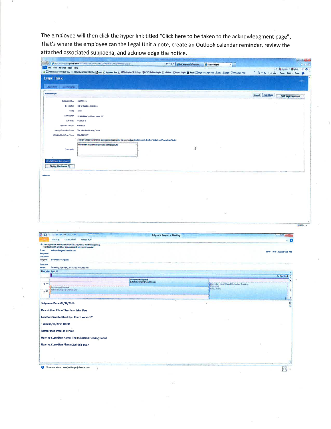The employee will then click the hyper link titled "Click here to be taken to the acknowledgment page". That's where the employee can the Legal Unit a note, create an Outlook calendar reminder, review the attached associated subpoena, and acknowledge the notice.

|                                                                                                                                                                                                                                                                                                                                                                                        |                                                                                                                                                                                                                              |                                                 |   |                                                                        | * Sitewest . Biseket x 0                 |
|----------------------------------------------------------------------------------------------------------------------------------------------------------------------------------------------------------------------------------------------------------------------------------------------------------------------------------------------------------------------------------------|------------------------------------------------------------------------------------------------------------------------------------------------------------------------------------------------------------------------------|-------------------------------------------------|---|------------------------------------------------------------------------|------------------------------------------|
|                                                                                                                                                                                                                                                                                                                                                                                        | (A) E) Al Purchase Orber 15( Oc. E) Al Purchase Odde 15( Oc. E) and a Discrement State 2) and General active Complex Hitch State C) and the State Complex State C Legal Legin Cape Prope 2) Link 2) Legin 2) OCS Legin Prope |                                                 |   |                                                                        | @ ● 図 · ② ● ● Page » Safety • Took ● @ ● |
| <b>Legal Track</b>                                                                                                                                                                                                                                                                                                                                                                     |                                                                                                                                                                                                                              |                                                 |   |                                                                        |                                          |
| Legisland<br><b>MANUFACE</b>                                                                                                                                                                                                                                                                                                                                                           |                                                                                                                                                                                                                              |                                                 |   |                                                                        |                                          |
| Achnowledged                                                                                                                                                                                                                                                                                                                                                                           |                                                                                                                                                                                                                              |                                                 |   |                                                                        | Cantal       Can Atland                  |
| Subpossa Date                                                                                                                                                                                                                                                                                                                                                                          | 04/16/2015                                                                                                                                                                                                                   |                                                 |   |                                                                        | <b>Notify Legal Department</b>           |
| Description                                                                                                                                                                                                                                                                                                                                                                            | City of Seattle v. John Doe                                                                                                                                                                                                  |                                                 |   |                                                                        |                                          |
| Serial                                                                                                                                                                                                                                                                                                                                                                                 | 738                                                                                                                                                                                                                          |                                                 |   |                                                                        |                                          |
| Sub Location                                                                                                                                                                                                                                                                                                                                                                           | Bealtje Municipal Court, room 101                                                                                                                                                                                            |                                                 |   |                                                                        |                                          |
| <b>Date/Rote</b>                                                                                                                                                                                                                                                                                                                                                                       | 04/16/2915                                                                                                                                                                                                                   |                                                 |   |                                                                        |                                          |
| Appearance Type                                                                                                                                                                                                                                                                                                                                                                        | In Person                                                                                                                                                                                                                    |                                                 |   |                                                                        |                                          |
| Heaning Custodian Name<br><b>Hearing Custodan Phone</b>                                                                                                                                                                                                                                                                                                                                | The Infraction Haaring Coord<br>206-684-5697                                                                                                                                                                                 |                                                 |   |                                                                        |                                          |
|                                                                                                                                                                                                                                                                                                                                                                                        | # you are unable to make this appearance, please enter the comments in box balow and click the "Molty Legal Department" button                                                                                               |                                                 |   |                                                                        |                                          |
|                                                                                                                                                                                                                                                                                                                                                                                        | Free last for emotions to type makes to the Liquid Unit                                                                                                                                                                      |                                                 |   |                                                                        |                                          |
| Comments                                                                                                                                                                                                                                                                                                                                                                               |                                                                                                                                                                                                                              |                                                 | 1 |                                                                        |                                          |
|                                                                                                                                                                                                                                                                                                                                                                                        |                                                                                                                                                                                                                              |                                                 |   |                                                                        |                                          |
| <b>Ontile Dynastic Appointment</b>                                                                                                                                                                                                                                                                                                                                                     |                                                                                                                                                                                                                              |                                                 |   |                                                                        |                                          |
| Dayley Attachments (7)                                                                                                                                                                                                                                                                                                                                                                 |                                                                                                                                                                                                                              |                                                 |   |                                                                        |                                          |
| reinste 1.0                                                                                                                                                                                                                                                                                                                                                                            |                                                                                                                                                                                                                              |                                                 |   |                                                                        |                                          |
|                                                                                                                                                                                                                                                                                                                                                                                        |                                                                                                                                                                                                                              |                                                 |   |                                                                        |                                          |
| or the Ch<br>۰<br>堂<br>Meeting<br><b>Thuance PDF</b>                                                                                                                                                                                                                                                                                                                                   | Adobe FOF                                                                                                                                                                                                                    | Subpoena Request - Meeting                      |   |                                                                        | $=10$<br>- 7<br>$\bullet$ $\bullet$      |
|                                                                                                                                                                                                                                                                                                                                                                                        |                                                                                                                                                                                                                              |                                                 |   |                                                                        |                                          |
| Katelyn. Berger @Seattle. Gav                                                                                                                                                                                                                                                                                                                                                          |                                                                                                                                                                                                                              |                                                 |   |                                                                        | Sent: Rius 4.9/2815 6:16 AM              |
|                                                                                                                                                                                                                                                                                                                                                                                        |                                                                                                                                                                                                                              |                                                 |   |                                                                        |                                          |
| Subpoena Request                                                                                                                                                                                                                                                                                                                                                                       |                                                                                                                                                                                                                              |                                                 |   |                                                                        |                                          |
| Thursday, April 16, 2015 1:30 PM-2:30 PM                                                                                                                                                                                                                                                                                                                                               |                                                                                                                                                                                                                              |                                                 |   |                                                                        |                                          |
|                                                                                                                                                                                                                                                                                                                                                                                        |                                                                                                                                                                                                                              |                                                 |   |                                                                        | Te Apr 20 *                              |
|                                                                                                                                                                                                                                                                                                                                                                                        |                                                                                                                                                                                                                              | Subposita Request<br>Katalyn Berger@Seattle.com |   |                                                                        |                                          |
| <b><i><u>Informa</u></i></b> Requisit                                                                                                                                                                                                                                                                                                                                                  |                                                                                                                                                                                                                              |                                                 |   | Gromale - New IC and Refinance Training<br>- SMS-1535<br>- Fisck Lenny |                                          |
| Kildyna Arriage & Sewths, Gove                                                                                                                                                                                                                                                                                                                                                         |                                                                                                                                                                                                                              |                                                 |   |                                                                        |                                          |
|                                                                                                                                                                                                                                                                                                                                                                                        |                                                                                                                                                                                                                              |                                                 |   |                                                                        |                                          |
|                                                                                                                                                                                                                                                                                                                                                                                        |                                                                                                                                                                                                                              |                                                 |   |                                                                        | ø                                        |
|                                                                                                                                                                                                                                                                                                                                                                                        |                                                                                                                                                                                                                              |                                                 |   |                                                                        |                                          |
|                                                                                                                                                                                                                                                                                                                                                                                        |                                                                                                                                                                                                                              |                                                 |   |                                                                        |                                          |
|                                                                                                                                                                                                                                                                                                                                                                                        |                                                                                                                                                                                                                              |                                                 |   |                                                                        |                                          |
|                                                                                                                                                                                                                                                                                                                                                                                        |                                                                                                                                                                                                                              |                                                 |   |                                                                        |                                          |
|                                                                                                                                                                                                                                                                                                                                                                                        |                                                                                                                                                                                                                              |                                                 |   |                                                                        |                                          |
|                                                                                                                                                                                                                                                                                                                                                                                        | Hearing Custodian Name: The Infraction Hearing Coord.                                                                                                                                                                        |                                                 |   |                                                                        |                                          |
|                                                                                                                                                                                                                                                                                                                                                                                        |                                                                                                                                                                                                                              |                                                 |   |                                                                        |                                          |
| The organizer has out requested a response for this meeting.<br>Conflicts with another appointeent on your Calendar.<br>Thursday, April 16<br>1 <sup>pm</sup><br>Subpoena Data: 04/16/2015<br>Description: City of Seattle v. John Doe<br>Location: Seattle Municipal Court, room 101<br>Time: 04/16/2015 00:00<br>Appearance Type: In Person<br>Hearing Custodian Phone: 206-684-5697 |                                                                                                                                                                                                                              |                                                 |   |                                                                        |                                          |
|                                                                                                                                                                                                                                                                                                                                                                                        |                                                                                                                                                                                                                              |                                                 |   |                                                                        |                                          |
|                                                                                                                                                                                                                                                                                                                                                                                        |                                                                                                                                                                                                                              |                                                 |   |                                                                        |                                          |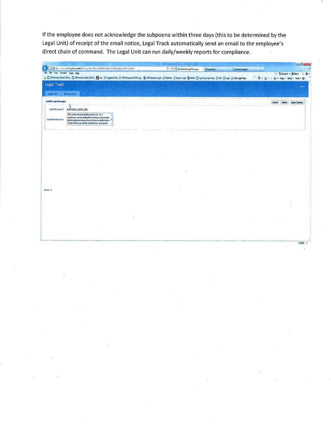If the employee does not acknowledge the subpoena within three days (this to be determined by the Legal Unit) of receipt of the email notice, Legal Track automatically send an email to the employee's direct chain of command. The Legal Unit can run daily/weekly reports for compliance.

|                                            | Shing workhold police seattle 2011 apps 17 provided (1975)501 (450) and PM (1641) (4511-22 31-41          | p - C X 2 Add-Edit Legal Messages<br>2 Legal Rem<br><b>C</b> Advertising                                                                                | 日作业                                      |
|--------------------------------------------|-----------------------------------------------------------------------------------------------------------|---------------------------------------------------------------------------------------------------------------------------------------------------------|------------------------------------------|
| <b>File Life</b> View Favorites Tools Help |                                                                                                           |                                                                                                                                                         | The Gomest . Edded: X Q .                |
|                                            |                                                                                                           | ்டி இசிலங்கள் பிக்க இசிகங்க Oder 1.5 Or இவம் இல்லுங்கிக இலி Dramas HR Olay இலி Update login இரங்கை பஞ்சியின் பெடியிரு (ogh Page இரில் இ1 மற்பி இல்லாத அ | @ - 回 + □ m + Page + Safay + Tools + D + |
| <b>Legal Track</b>                         |                                                                                                           |                                                                                                                                                         |                                          |
|                                            |                                                                                                           |                                                                                                                                                         | Legisl.                                  |
| <b>Cogal Insti-</b>                        | Maintenance                                                                                               |                                                                                                                                                         |                                          |
|                                            |                                                                                                           |                                                                                                                                                         |                                          |
| AddEdit Legal Idessaura                    |                                                                                                           |                                                                                                                                                         | Cascal Delate Apply Changes              |
|                                            | ্বি                                                                                                       |                                                                                                                                                         |                                          |
| Legal Massage ID                           | <b>BUBPOENA_SUPER_MSG</b>                                                                                 |                                                                                                                                                         |                                          |
|                                            | This is the measure for the superistics. As a<br>supervisor, you are getting bis message because the      |                                                                                                                                                         |                                          |
| Legal Message Dasc                         | indal success request has not been accepted withs<br>3 days. Follow-up with the recipied may be required. |                                                                                                                                                         |                                          |
|                                            |                                                                                                           |                                                                                                                                                         |                                          |
|                                            |                                                                                                           |                                                                                                                                                         |                                          |
|                                            |                                                                                                           |                                                                                                                                                         |                                          |
|                                            |                                                                                                           |                                                                                                                                                         |                                          |
|                                            |                                                                                                           |                                                                                                                                                         |                                          |
|                                            |                                                                                                           |                                                                                                                                                         |                                          |
|                                            |                                                                                                           |                                                                                                                                                         |                                          |
|                                            |                                                                                                           |                                                                                                                                                         |                                          |
|                                            |                                                                                                           |                                                                                                                                                         |                                          |
|                                            |                                                                                                           |                                                                                                                                                         |                                          |
|                                            |                                                                                                           |                                                                                                                                                         |                                          |
|                                            |                                                                                                           |                                                                                                                                                         |                                          |
|                                            |                                                                                                           |                                                                                                                                                         |                                          |
| release 10                                 |                                                                                                           |                                                                                                                                                         |                                          |
|                                            |                                                                                                           |                                                                                                                                                         |                                          |
|                                            |                                                                                                           |                                                                                                                                                         |                                          |
|                                            |                                                                                                           |                                                                                                                                                         |                                          |
|                                            |                                                                                                           |                                                                                                                                                         |                                          |
|                                            |                                                                                                           |                                                                                                                                                         |                                          |
|                                            |                                                                                                           |                                                                                                                                                         |                                          |
|                                            |                                                                                                           |                                                                                                                                                         |                                          |
|                                            |                                                                                                           |                                                                                                                                                         |                                          |
|                                            |                                                                                                           |                                                                                                                                                         |                                          |
|                                            |                                                                                                           |                                                                                                                                                         |                                          |

**K100% -**